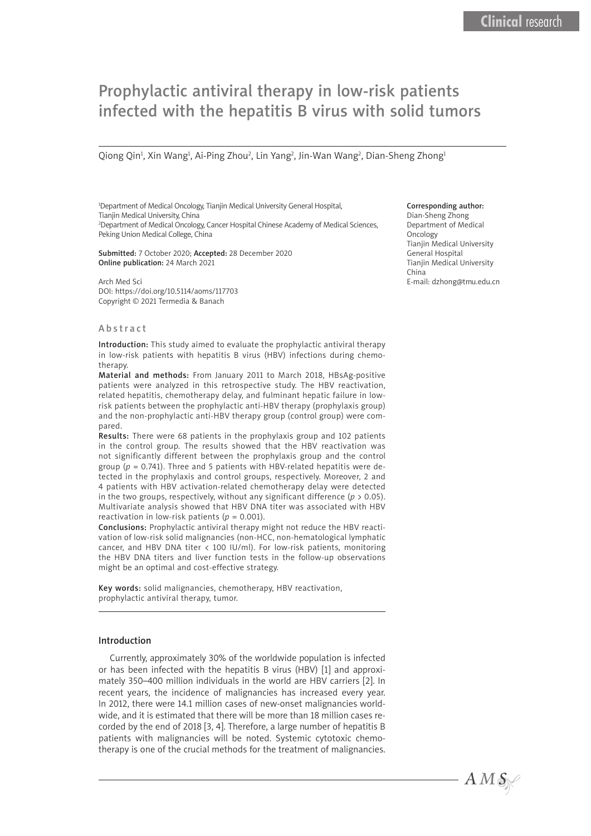# Prophylactic antiviral therapy in low-risk patients infected with the hepatitis B virus with solid tumors

Qiong Qin<sup>1</sup>, Xin Wang<sup>1</sup>, Ai-Ping Zhou<sup>2</sup>, Lin Yang<sup>2</sup>, Jin-Wan Wang<sup>2</sup>, Dian-Sheng Zhong<sup>1</sup>

1 Department of Medical Oncology, Tianjin Medical University General Hospital, Tianjin Medical University, China 2 Department of Medical Oncology, Cancer Hospital Chinese Academy of Medical Sciences, Peking Union Medical College, China

Submitted: 7 October 2020; Accepted: 28 December 2020 Online publication: 24 March 2021

Arch Med Sci DOI: https://doi.org/10.5114/aoms/117703 Copyright © 2021 Termedia & Banach

#### Abstract

Introduction: This study aimed to evaluate the prophylactic antiviral therapy in low-risk patients with hepatitis B virus (HBV) infections during chemotherapy.

Material and methods: From January 2011 to March 2018, HBsAg-positive patients were analyzed in this retrospective study. The HBV reactivation, related hepatitis, chemotherapy delay, and fulminant hepatic failure in lowrisk patients between the prophylactic anti-HBV therapy (prophylaxis group) and the non-prophylactic anti-HBV therapy group (control group) were compared.

Results: There were 68 patients in the prophylaxis group and 102 patients in the control group. The results showed that the HBV reactivation was not significantly different between the prophylaxis group and the control group ( $p = 0.741$ ). Three and 5 patients with HBV-related hepatitis were detected in the prophylaxis and control groups, respectively. Moreover, 2 and 4 patients with HBV activation-related chemotherapy delay were detected in the two groups, respectively, without any significant difference ( $p > 0.05$ ). Multivariate analysis showed that HBV DNA titer was associated with HBV reactivation in low-risk patients ( $p = 0.001$ ).

Conclusions: Prophylactic antiviral therapy might not reduce the HBV reactivation of low-risk solid malignancies (non-HCC, non-hematological lymphatic cancer, and HBV DNA titer < 100 IU/ml). For low-risk patients, monitoring the HBV DNA titers and liver function tests in the follow-up observations might be an optimal and cost-effective strategy.

Key words: solid malignancies, chemotherapy, HBV reactivation, prophylactic antiviral therapy, tumor.

#### Introduction

Currently, approximately 30% of the worldwide population is infected or has been infected with the hepatitis B virus (HBV) [1] and approximately 350–400 million individuals in the world are HBV carriers [2]. In recent years, the incidence of malignancies has increased every year. In 2012, there were 14.1 million cases of new-onset malignancies worldwide, and it is estimated that there will be more than 18 million cases recorded by the end of 2018 [3, 4]. Therefore, a large number of hepatitis B patients with malignancies will be noted. Systemic cytotoxic chemotherapy is one of the crucial methods for the treatment of malignancies.

## Corresponding author:

Dian-Sheng Zhong Department of Medical **Oncology** Tianjin Medical University General Hospital Tianjin Medical University China E-mail: dzhong@tmu.edu.cn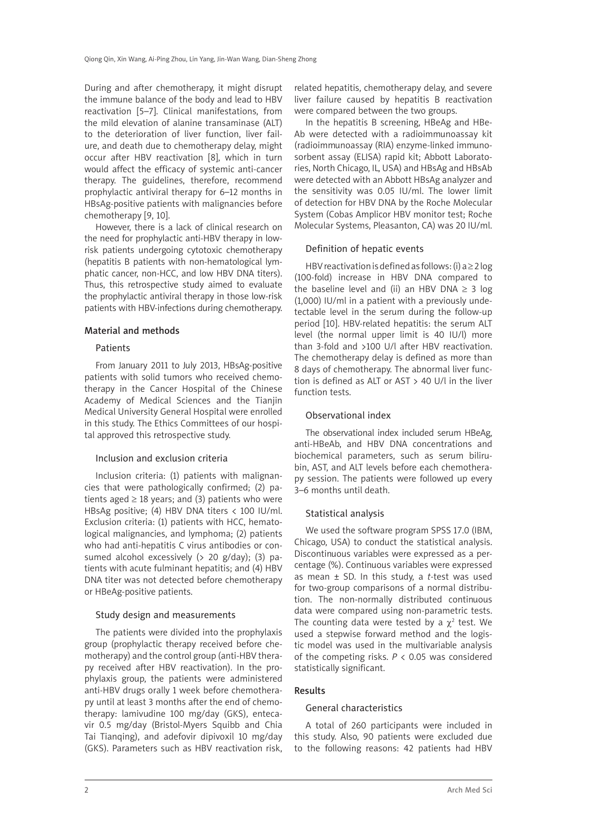During and after chemotherapy, it might disrupt the immune balance of the body and lead to HBV reactivation [5–7]. Clinical manifestations, from the mild elevation of alanine transaminase (ALT) to the deterioration of liver function, liver failure, and death due to chemotherapy delay, might occur after HBV reactivation [8], which in turn would affect the efficacy of systemic anti-cancer therapy. The guidelines, therefore, recommend prophylactic antiviral therapy for 6–12 months in HBsAg-positive patients with malignancies before chemotherapy [9, 10].

However, there is a lack of clinical research on the need for prophylactic anti-HBV therapy in lowrisk patients undergoing cytotoxic chemotherapy (hepatitis B patients with non-hematological lymphatic cancer, non-HCC, and low HBV DNA titers). Thus, this retrospective study aimed to evaluate the prophylactic antiviral therapy in those low-risk patients with HBV-infections during chemotherapy.

## Material and methods

## Patients

From January 2011 to July 2013, HBsAg-positive patients with solid tumors who received chemotherapy in the Cancer Hospital of the Chinese Academy of Medical Sciences and the Tianjin Medical University General Hospital were enrolled in this study. The Ethics Committees of our hospital approved this retrospective study.

## Inclusion and exclusion criteria

Inclusion criteria: (1) patients with malignancies that were pathologically confirmed; (2) patients aged  $\geq$  18 years; and (3) patients who were HBsAg positive; (4) HBV DNA titers < 100 IU/ml. Exclusion criteria: (1) patients with HCC, hematological malignancies, and lymphoma; (2) patients who had anti-hepatitis C virus antibodies or consumed alcohol excessively (> 20 g/day); (3) patients with acute fulminant hepatitis; and (4) HBV DNA titer was not detected before chemotherapy or HBeAg-positive patients.

## Study design and measurements

The patients were divided into the prophylaxis group (prophylactic therapy received before chemotherapy) and the control group (anti-HBV therapy received after HBV reactivation). In the prophylaxis group, the patients were administered anti-HBV drugs orally 1 week before chemotherapy until at least 3 months after the end of chemotherapy: lamivudine 100 mg/day (GKS), entecavir 0.5 mg/day (Bristol-Myers Squibb and Chia Tai Tianqing), and adefovir dipivoxil 10 mg/day (GKS). Parameters such as HBV reactivation risk,

related hepatitis, chemotherapy delay, and severe liver failure caused by hepatitis B reactivation were compared between the two groups.

In the hepatitis B screening, HBeAg and HBe-Ab were detected with a radioimmunoassay kit (radioimmunoassay (RIA) enzyme-linked immunosorbent assay (ELISA) rapid kit; Abbott Laboratories, North Chicago, IL, USA) and HBsAg and HBsAb were detected with an Abbott HBsAg analyzer and the sensitivity was 0.05 IU/ml. The lower limit of detection for HBV DNA by the Roche Molecular System (Cobas Amplicor HBV monitor test; Roche Molecular Systems, Pleasanton, CA) was 20 IU/ml.

# Definition of hepatic events

HBV reactivation is defined as follows: (i)  $a \ge 2 \log$ (100-fold) increase in HBV DNA compared to the baseline level and (ii) an HBV DNA  $\geq$  3 log (1,000) IU/ml in a patient with a previously undetectable level in the serum during the follow-up period [10]. HBV-related hepatitis: the serum ALT level (the normal upper limit is 40 IU/l) more than 3-fold and >100 U/l after HBV reactivation. The chemotherapy delay is defined as more than 8 days of chemotherapy. The abnormal liver function is defined as ALT or AST > 40 U/l in the liver function tests.

# Observational index

The observational index included serum HBeAg, anti-HBeAb, and HBV DNA concentrations and biochemical parameters, such as serum bilirubin, AST, and ALT levels before each chemotherapy session. The patients were followed up every 3–6 months until death.

# Statistical analysis

We used the software program SPSS 17.0 (IBM, Chicago, USA) to conduct the statistical analysis. Discontinuous variables were expressed as a percentage (%). Continuous variables were expressed as mean ± SD. In this study, a *t*-test was used for two-group comparisons of a normal distribution. The non-normally distributed continuous data were compared using non-parametric tests. The counting data were tested by a  $\chi^2$  test. We used a stepwise forward method and the logistic model was used in the multivariable analysis of the competing risks. *P* < 0.05 was considered statistically significant.

## Results

# General characteristics

A total of 260 participants were included in this study. Also, 90 patients were excluded due to the following reasons: 42 patients had HBV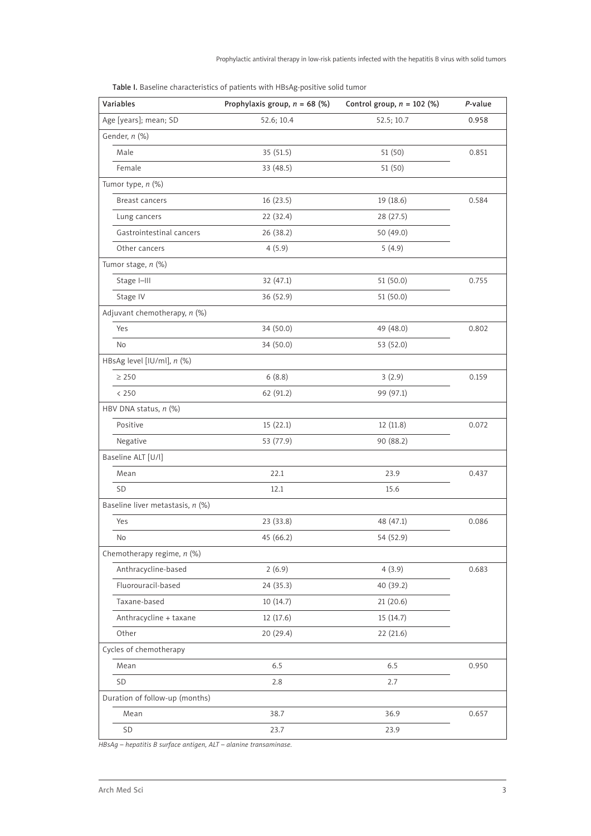| <b>Variables</b>                 | Prophylaxis group, $n = 68$ (%) | Control group, $n = 102$ (%) | P-value |
|----------------------------------|---------------------------------|------------------------------|---------|
| Age [years]; mean; SD            | 52.6; 10.4                      | 52.5; 10.7                   | 0.958   |
| Gender, n (%)                    |                                 |                              |         |
| Male                             | 35 (51.5)                       | 51 (50)                      | 0.851   |
| Female                           | 33(48.5)                        | 51(50)                       |         |
| Tumor type, n (%)                |                                 |                              |         |
| <b>Breast cancers</b>            | 16 (23.5)                       | 19(18.6)                     | 0.584   |
| Lung cancers                     | 22(32.4)                        | 28(27.5)                     |         |
| Gastrointestinal cancers         | 26(38.2)                        | 50 (49.0)                    |         |
| Other cancers                    | 4(5.9)                          | 5(4.9)                       |         |
| Tumor stage, n (%)               |                                 |                              |         |
| Stage I-III                      | 32 (47.1)                       | 51 (50.0)                    | 0.755   |
| Stage IV                         | 36 (52.9)                       | 51(50.0)                     |         |
| Adjuvant chemotherapy, n (%)     |                                 |                              |         |
| Yes                              | 34 (50.0)                       | 49 (48.0)                    | 0.802   |
| No                               | 34 (50.0)                       | 53 (52.0)                    |         |
| HBsAg level [IU/ml], n (%)       |                                 |                              |         |
| $\geq 250$                       | 6(8.8)                          | 3(2.9)                       | 0.159   |
| < 250                            | 62 (91.2)                       | 99 (97.1)                    |         |
| HBV DNA status, $n$ (%)          |                                 |                              |         |
| Positive                         | 15(22.1)                        | 12 (11.8)                    | 0.072   |
| Negative                         | 53 (77.9)                       | 90 (88.2)                    |         |
| Baseline ALT [U/l]               |                                 |                              |         |
| Mean                             | 22.1                            | 23.9                         | 0.437   |
| SD                               | 12.1                            | 15.6                         |         |
| Baseline liver metastasis, n (%) |                                 |                              |         |
| Yes                              | 23(33.8)                        | 48 (47.1)                    | 0.086   |
| No                               | 45 (66.2)                       | 54 (52.9)                    |         |
| Chemotherapy regime, $n$ (%)     |                                 |                              |         |
| Anthracycline-based              | 2(6.9)                          | 4(3.9)                       | 0.683   |
| Fluorouracil-based               | 24 (35.3)                       | 40 (39.2)                    |         |
| Taxane-based                     | 10(14.7)                        | 21(20.6)                     |         |
| Anthracycline + taxane           | 12 (17.6)                       | 15 (14.7)                    |         |
| Other                            | 20 (29.4)                       | 22(21.6)                     |         |
| Cycles of chemotherapy           |                                 |                              |         |
| Mean                             | 6.5                             | 6.5                          | 0.950   |
| SD                               | 2.8                             | 2.7                          |         |
| Duration of follow-up (months)   |                                 |                              |         |
| Mean                             | 38.7                            | 36.9                         | 0.657   |
| SD                               | 23.7                            | 23.9                         |         |

*HBsAg – hepatitis B surface antigen, ALT – alanine transaminase.*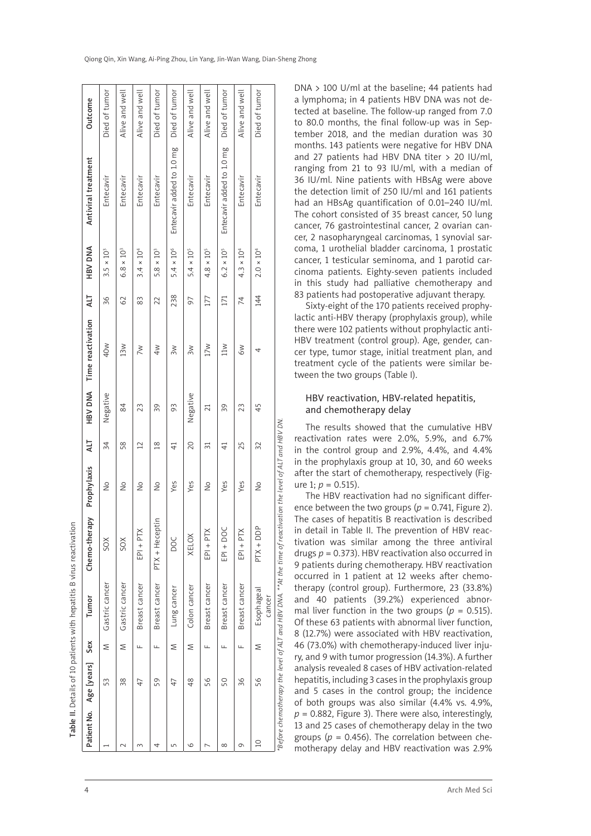|  |  | Qiong Qin, Xin Wang, Ai-Ping Zhou, Lin Yang, Jin-Wan Wang, Dian-Sheng Zhong |
|--|--|-----------------------------------------------------------------------------|

|                |             |     | Table II. Details of 10 patients with hepatitis B virus reactivation |                                                                                                               |               |                 |                |                   |     |                     |                           |                |
|----------------|-------------|-----|----------------------------------------------------------------------|---------------------------------------------------------------------------------------------------------------|---------------|-----------------|----------------|-------------------|-----|---------------------|---------------------------|----------------|
| Patient No.    | Age [years] | Sex | Tumor                                                                | Chemo-therapy                                                                                                 | Prophylaxis   | ТIV             | <b>HBV DNA</b> | Time reactivation | TIY | HBV DNA             | Antiviral treatment       | Outcome        |
|                | 53          | Σ   | Gastric cancer                                                       | SOX                                                                                                           | $\frac{1}{2}$ | 34              | Negative       | 40 <sub>w</sub>   | 36  | $3.5 \times 10^{3}$ | Entecavir                 | Died of tumor  |
|                | 38          | Σ   | Gastric cancer                                                       | SOX                                                                                                           | $\frac{1}{2}$ | 58              | 84             | 13 <sub>w</sub>   | 62  | $6.8 \times 10^{3}$ | Entecavir                 | Alive and well |
| $\sim$         | 47          | Щ   | Breast cancer                                                        | $EPI + PTX$                                                                                                   | $\frac{1}{2}$ | $\overline{2}$  | 23             | $\geq$            | 83  | $3.4 \times 10^{4}$ | Entecavir                 | Alive and well |
| 4              | 59          | ш.  | Breast cancer                                                        | PTX + Heceptin                                                                                                | $\frac{1}{2}$ | $\frac{8}{10}$  | 39             | 4w                | 22  | $5.8 \times 10^{3}$ | Entecavir                 | Died of tumor  |
| 5              | 47          | Σ   | Lung cancer                                                          | DOC                                                                                                           | Yes           | $\overline{4}$  | 93             | 3W                | 238 | $5.4 \times 10^{6}$ | Entecavir added to 1.0 mg | Died of tumor  |
| $\circ$        | 48          | Σ   | Colon cancer                                                         | XELOX                                                                                                         | Yes           | 20              | Negative       | 3w                | 56  | $5.4 \times 10^{5}$ | Entecavir                 | Alive and well |
|                | 56          | щ   | Breast cancer                                                        | $EPI + PTX$                                                                                                   | $\frac{1}{2}$ | $\overline{31}$ | $\overline{c}$ | 17w               | 177 | $4.8 \times 10^5$   | Entecavir                 | Alive and well |
| $\infty$       | 50          | щ   | Breast cancer                                                        | EPI + DOC                                                                                                     | Yes           | $\overline{4}$  | 39             | 11M               | 171 | $6.2 \times 10^{5}$ | Entecavir added to 1.0 mg | Died of tumor  |
| G              | 36          | щ   | Breast cancer                                                        | $EPI + PTX$                                                                                                   | Yes           | 25              | 23             | $\approx$         | 74  | $4.3 \times 10^{4}$ | Entecavir                 | Alive and well |
| $\overline{a}$ | 56          | ⋝   | Esophageal<br>cancer                                                 | PTX + DDP                                                                                                     | $\frac{1}{2}$ | 32              | 45             | 4                 | 144 | $2.0\times10^4$     | Entecavir                 | Died of tumor  |
|                |             |     |                                                                      | 'Before chemotherapy the level of ALT and HBV DNA. **At the time of reactivation the level of ALT and HBV DN. |               |                 |                |                   |     |                     |                           |                |

DNA > 100 U/ml at the baseline; 44 patients had a lymphoma; in 4 patients HBV DNA was not de tected at baseline. The follow-up ranged from 7.0 to 80.0 months, the final follow-up was in Sep tember 2018, and the median duration was 30 months. 143 patients were negative for HBV DNA and 27 patients had HBV DNA titer  $> 20$  IU/ml, ranging from 21 to 93 IU/ml, with a median of 36 IU/ml. Nine patients with HBsAg were above the detection limit of 250 IU/ml and 161 patients had an HBsAg quantification of 0.01–240 IU/ml. The cohort consisted of 35 breast cancer, 50 lung cancer, 76 gastrointestinal cancer, 2 ovarian can cer, 2 nasopharyngeal carcinomas, 1 synovial sar coma, 1 urothelial bladder carcinoma, 1 prostatic cancer, 1 testicular seminoma, and 1 parotid car cinoma patients. Eighty-seven patients included in this study had palliative chemotherapy and 83 patients had postoperative adjuvant therapy.

Sixty-eight of the 170 patients received prophy lactic anti-HBV therapy (prophylaxis group), while there were 102 patients without prophylactic anti-HBV treatment (control group). Age, gender, cancer type, tumor stage, initial treatment plan, and treatment cycle of the patients were similar be tween the two groups (Table I).

# HBV reactivation, HBV-related hepatitis, and chemotherapy delay

The results showed that the cumulative HBV reactivation rates were 2.0%, 5.9%, and 6.7% in the control group and 2.9%, 4.4%, and 4.4% in the prophylaxis group at 10, 30, and 60 weeks after the start of chemotherapy, respectively (Fig ure 1:  $p = 0.515$ ).

The HBV reactivation had no significant differ ence between the two groups ( $p = 0.741$ , Figure 2). The cases of hepatitis B reactivation is described in detail in Table II. The prevention of HBV reac tivation was similar among the three antiviral drugs *p* = 0.373). HBV reactivation also occurred in 9 patients during chemotherapy. HBV reactivation occurred in 1 patient at 12 weeks after chemo therapy (control group). Furthermore, 23 (33.8%) and 40 patients (39.2%) experienced abnor mal liver function in the two groups ( $p = 0.515$ ). Of these 63 patients with abnormal liver function, 8 (12.7%) were associated with HBV reactivation, 46 (73.0%) with chemotherapy-induced liver inju ry, and 9 with tumor progression (14.3%). A further analysis revealed 8 cases of HBV activation-related hepatitis, including 3 cases in the prophylaxis group and 5 cases in the control group; the incidence of both groups was also similar (4.4% vs. 4.9%,  $p = 0.882$ , Figure 3). There were also, interestingly, 13 and 25 cases of chemotherapy delay in the two groups ( $p = 0.456$ ). The correlation between chemotherapy delay and HBV reactivation was 2.9%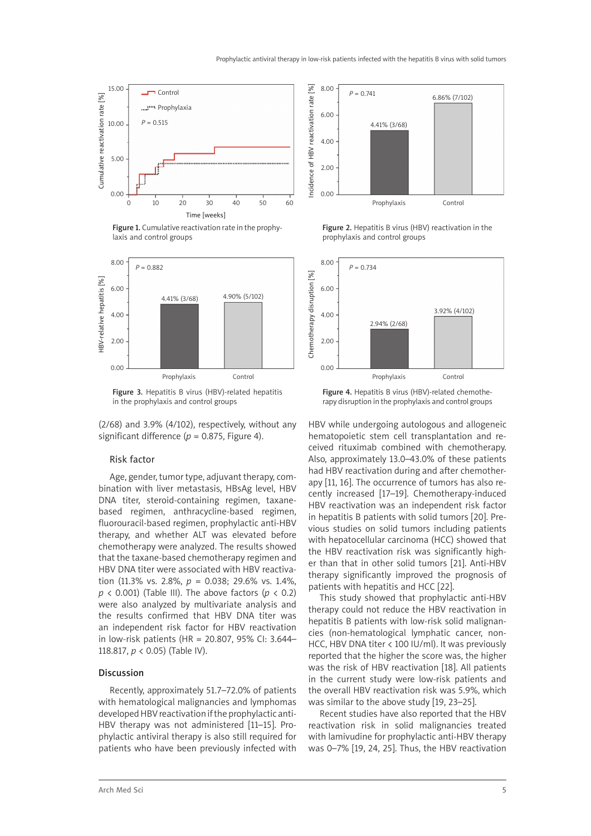

Figure 1. Cumulative reactivation rate in the prophylaxis and control groups



Figure 3. Hepatitis B virus (HBV)-related hepatitis in the prophylaxis and control groups

(2/68) and 3.9% (4/102), respectively, without any significant difference ( $p = 0.875$ , Figure 4).

#### Risk factor

Age, gender, tumor type, adjuvant therapy, combination with liver metastasis, HBsAg level, HBV DNA titer, steroid-containing regimen, taxanebased regimen, anthracycline-based regimen, fluorouracil-based regimen, prophylactic anti-HBV therapy, and whether ALT was elevated before chemotherapy were analyzed. The results showed that the taxane-based chemotherapy regimen and HBV DNA titer were associated with HBV reactivation (11.3% vs. 2.8%, *p* = 0.038; 29.6% vs. 1.4%,  $p \lt 0.001$ ) (Table III). The above factors ( $p \lt 0.2$ ) were also analyzed by multivariate analysis and the results confirmed that HBV DNA titer was an independent risk factor for HBV reactivation in low-risk patients (HR = 20.807, 95% CI: 3.644– 118.817, *p* < 0.05) (Table IV).

#### **Discussion**

Recently, approximately 51.7–72.0% of patients with hematological malignancies and lymphomas developed HBV reactivation if the prophylactic anti-HBV therapy was not administered [11–15]. Prophylactic antiviral therapy is also still required for patients who have been previously infected with



Figure 2. Hepatitis B virus (HBV) reactivation in the prophylaxis and control groups



Figure 4. Hepatitis B virus (HBV)-related chemotherapy disruption in the prophylaxis and control groups

HBV while undergoing autologous and allogeneic hematopoietic stem cell transplantation and received rituximab combined with chemotherapy. Also, approximately 13.0–43.0% of these patients had HBV reactivation during and after chemotherapy [11, 16]. The occurrence of tumors has also recently increased [17–19]. Chemotherapy-induced HBV reactivation was an independent risk factor in hepatitis B patients with solid tumors [20]. Previous studies on solid tumors including patients with hepatocellular carcinoma (HCC) showed that the HBV reactivation risk was significantly higher than that in other solid tumors [21]. Anti-HBV therapy significantly improved the prognosis of patients with hepatitis and HCC [22].

This study showed that prophylactic anti-HBV therapy could not reduce the HBV reactivation in hepatitis B patients with low-risk solid malignancies (non-hematological lymphatic cancer, non-HCC, HBV DNA titer < 100 IU/ml). It was previously reported that the higher the score was, the higher was the risk of HBV reactivation [18]. All patients in the current study were low-risk patients and the overall HBV reactivation risk was 5.9%, which was similar to the above study [19, 23–25].

Recent studies have also reported that the HBV reactivation risk in solid malignancies treated with lamivudine for prophylactic anti-HBV therapy was 0–7% [19, 24, 25]. Thus, the HBV reactivation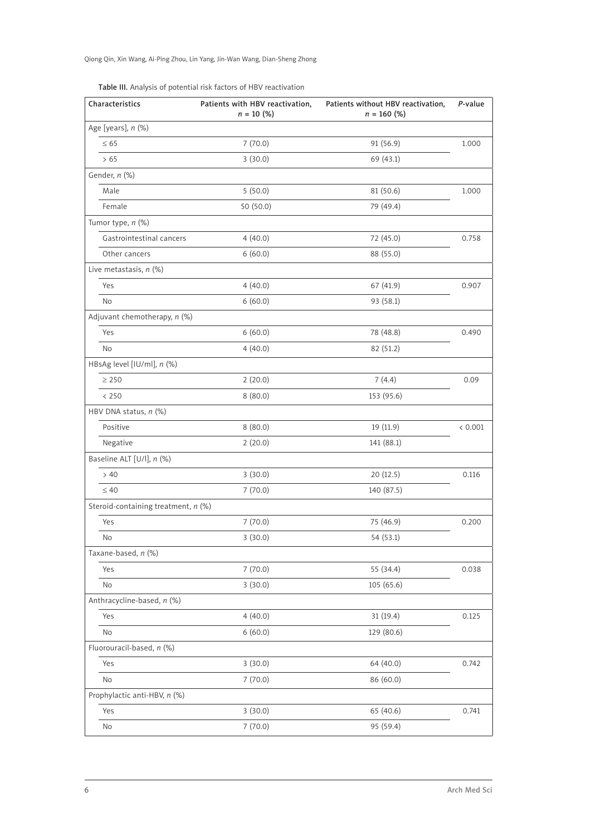Qiong Qin, Xin Wang, Ai-Ping Zhou, Lin Yang, Jin-Wan Wang, Dian-Sheng Zhong

| Characteristics                     | Patients with HBV reactivation,<br>$n = 10$ (%) | Patients without HBV reactivation,<br>$n = 160$ (%) | P-value |
|-------------------------------------|-------------------------------------------------|-----------------------------------------------------|---------|
| Age [years], n (%)                  |                                                 |                                                     |         |
| $\leq 65$                           | 7(70.0)                                         | 91 (56.9)                                           | 1.000   |
| >65                                 | 3(30.0)                                         | 69 (43.1)                                           |         |
| Gender, n (%)                       |                                                 |                                                     |         |
| Male                                | 5(50.0)                                         | 81 (50.6)                                           | 1.000   |
| Female                              | 50(50.0)                                        | 79 (49.4)                                           |         |
| Tumor type, n (%)                   |                                                 |                                                     |         |
| Gastrointestinal cancers            | 4(40.0)                                         | 72 (45.0)                                           | 0.758   |
| Other cancers                       | 6(60.0)                                         | 88 (55.0)                                           |         |
| Live metastasis, $n$ (%)            |                                                 |                                                     |         |
| Yes                                 | 4(40.0)                                         | 67 (41.9)                                           | 0.907   |
| No                                  | 6(60.0)                                         | 93 (58.1)                                           |         |
| Adjuvant chemotherapy, n (%)        |                                                 |                                                     |         |
| Yes                                 | 6(60.0)                                         | 78 (48.8)                                           | 0.490   |
| No                                  | 4(40.0)                                         | 82 (51.2)                                           |         |
| HBsAg level [IU/ml], n (%)          |                                                 |                                                     |         |
| $\geq 250$                          | 2(20.0)                                         | 7(4.4)                                              | 0.09    |
| < 250                               | 8(80.0)                                         | 153 (95.6)                                          |         |
| HBV DNA status, n (%)               |                                                 |                                                     |         |
| Positive                            | 8(80.0)                                         | 19(11.9)                                            | < 0.001 |
| Negative                            | 2(20.0)                                         | 141 (88.1)                                          |         |
| Baseline ALT [U/l], n (%)           |                                                 |                                                     |         |
| > 40                                | 3(30.0)                                         | 20 (12.5)                                           | 0.116   |
| $\leq 40$                           | 7(70.0)                                         | 140 (87.5)                                          |         |
| Steroid-containing treatment, n (%) |                                                 |                                                     |         |
| Yes                                 | 7(70.0)                                         | 75 (46.9)                                           | 0.200   |
| No                                  | 3(30.0)                                         | 54 (53.1)                                           |         |
| Taxane-based, n (%)                 |                                                 |                                                     |         |
| Yes                                 | 7(70.0)                                         | 55 (34.4)                                           | 0.038   |
| No                                  | 3(30.0)                                         | 105 (65.6)                                          |         |
| Anthracycline-based, n (%)          |                                                 |                                                     |         |
| Yes                                 | 4(40.0)                                         | 31(19.4)                                            | 0.125   |
| No                                  | 6(60.0)                                         | 129 (80.6)                                          |         |
| Fluorouracil-based, n (%)           |                                                 |                                                     |         |
| Yes                                 | 3(30.0)                                         | 64 (40.0)                                           | 0.742   |
| No                                  | 7(70.0)                                         | 86 (60.0)                                           |         |
| Prophylactic anti-HBV, n (%)        |                                                 |                                                     |         |
| Yes                                 | 3(30.0)                                         | 65 (40.6)                                           | 0.741   |
| No                                  | 7(70.0)                                         | 95 (59.4)                                           |         |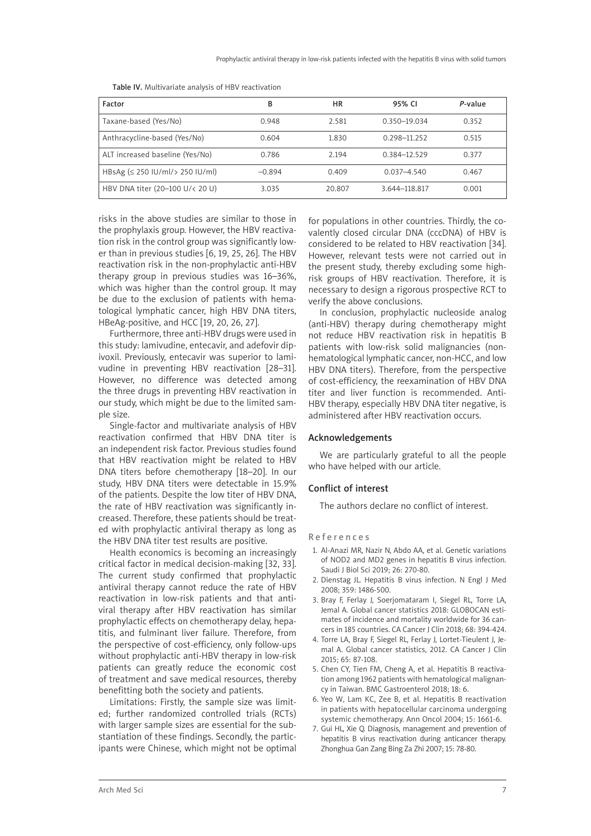| Factor                                                | В        | HR     | 95% CI           | P-value |
|-------------------------------------------------------|----------|--------|------------------|---------|
| Taxane-based (Yes/No)                                 | 0.948    | 2.581  | 0.350-19.034     | 0.352   |
| Anthracycline-based (Yes/No)                          | 0.604    | 1.830  | 0.298-11.252     | 0.515   |
| ALT increased baseline (Yes/No)                       | 0.786    | 2.194  | $0.384 - 12.529$ | 0.377   |
| HBsAg $(\leq 250 \text{ IU/ml/s } 250 \text{ IU/ml})$ | $-0.894$ | 0.409  | $0.037 - 4.540$  | 0.467   |
| HBV DNA titer (20-100 U/< 20 U)                       | 3.035    | 20.807 | 3.644-118.817    | 0.001   |

Table IV. Multivariate analysis of HBV reactivation

risks in the above studies are similar to those in the prophylaxis group. However, the HBV reactivation risk in the control group was significantly lower than in previous studies [6, 19, 25, 26]. The HBV reactivation risk in the non-prophylactic anti-HBV therapy group in previous studies was 16–36%, which was higher than the control group. It may be due to the exclusion of patients with hematological lymphatic cancer, high HBV DNA titers, HBeAg-positive, and HCC [19, 20, 26, 27].

Furthermore, three anti-HBV drugs were used in this study: lamivudine, entecavir, and adefovir dipivoxil. Previously, entecavir was superior to lamivudine in preventing HBV reactivation [28–31]. However, no difference was detected among the three drugs in preventing HBV reactivation in our study, which might be due to the limited sample size.

Single-factor and multivariate analysis of HBV reactivation confirmed that HBV DNA titer is an independent risk factor. Previous studies found that HBV reactivation might be related to HBV DNA titers before chemotherapy [18–20]. In our study, HBV DNA titers were detectable in 15.9% of the patients. Despite the low titer of HBV DNA, the rate of HBV reactivation was significantly increased. Therefore, these patients should be treated with prophylactic antiviral therapy as long as the HBV DNA titer test results are positive.

Health economics is becoming an increasingly critical factor in medical decision-making [32, 33]. The current study confirmed that prophylactic antiviral therapy cannot reduce the rate of HBV reactivation in low-risk patients and that antiviral therapy after HBV reactivation has similar prophylactic effects on chemotherapy delay, hepatitis, and fulminant liver failure. Therefore, from the perspective of cost-efficiency, only follow-ups without prophylactic anti-HBV therapy in low-risk patients can greatly reduce the economic cost of treatment and save medical resources, thereby benefitting both the society and patients.

Limitations: Firstly, the sample size was limited; further randomized controlled trials (RCTs) with larger sample sizes are essential for the substantiation of these findings. Secondly, the participants were Chinese, which might not be optimal for populations in other countries. Thirdly, the covalently closed circular DNA (cccDNA) of HBV is considered to be related to HBV reactivation [34]. However, relevant tests were not carried out in the present study, thereby excluding some highrisk groups of HBV reactivation. Therefore, it is necessary to design a rigorous prospective RCT to verify the above conclusions.

In conclusion, prophylactic nucleoside analog (anti-HBV) therapy during chemotherapy might not reduce HBV reactivation risk in hepatitis B patients with low-risk solid malignancies (nonhematological lymphatic cancer, non-HCC, and low HBV DNA titers). Therefore, from the perspective of cost-efficiency, the reexamination of HBV DNA titer and liver function is recommended. Anti-HBV therapy, especially HBV DNA titer negative, is administered after HBV reactivation occurs.

## Acknowledgements

We are particularly grateful to all the people who have helped with our article.

## Conflict of interest

The authors declare no conflict of interest.

## References

- 1. Al-Anazi MR, Nazir N, Abdo AA, et al. Genetic variations of NOD2 and MD2 genes in hepatitis B virus infection. Saudi J Biol Sci 2019; 26: 270-80.
- 2. Dienstag JL. Hepatitis B virus infection. N Engl J Med 2008; 359: 1486-500.
- 3. Bray F, Ferlay J, Soerjomataram I, Siegel RL, Torre LA, Jemal A. Global cancer statistics 2018: GLOBOCAN estimates of incidence and mortality worldwide for 36 cancers in 185 countries. CA Cancer J Clin 2018; 68: 394-424.
- 4. Torre LA, Bray F, Siegel RL, Ferlay J, Lortet-Tieulent J, Jemal A. Global cancer statistics, 2012. CA Cancer J Clin 2015; 65: 87-108.
- 5. Chen CY, Tien FM, Cheng A, et al. Hepatitis B reactivation among 1962 patients with hematological malignancy in Taiwan. BMC Gastroenterol 2018; 18: 6.
- 6. Yeo W, Lam KC, Zee B, et al. Hepatitis B reactivation in patients with hepatocellular carcinoma undergoing systemic chemotherapy. Ann Oncol 2004; 15: 1661-6.
- 7. Gui HL, Xie Q. Diagnosis, management and prevention of hepatitis B virus reactivation during anticancer therapy. Zhonghua Gan Zang Bing Za Zhi 2007; 15: 78-80.